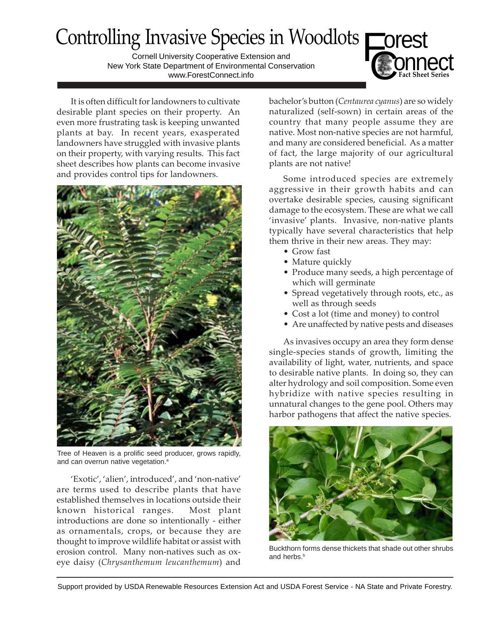# Controlling Invasive Species in Woodlots<br>
Controlling Connell University Cooperative Extension and<br>
New York State Department of Environmental Conservation C**Fact Sheet Series**

Cornell University Cooperative Extension and New York State Department of Environmental Conservation www.ForestConnect.info

It is often difficult for landowners to cultivate desirable plant species on their property. An even more frustrating task is keeping unwanted plants at bay. In recent years, exasperated landowners have struggled with invasive plants on their property, with varying results. This fact sheet describes how plants can become invasive and provides control tips for landowners.



Tree of Heaven is a prolific seed producer, grows rapidly, and can overrun native vegetation.<sup>a</sup>

'Exotic', 'alien', introduced', and 'non-native' are terms used to describe plants that have established themselves in locations outside their known historical ranges. Most plant introductions are done so intentionally - either as ornamentals, crops, or because they are thought to improve wildlife habitat or assist with erosion control. Many non-natives such as oxeye daisy (*Chrysanthemum leucanthemum*) and

bachelor's button (*Centaurea cyanus*) are so widely naturalized (self-sown) in certain areas of the country that many people assume they are native. Most non-native species are not harmful, and many are considered beneficial. As a matter of fact, the large majority of our agricultural plants are not native!

Some introduced species are extremely aggressive in their growth habits and can overtake desirable species, causing significant damage to the ecosystem. These are what we call 'invasive' plants. Invasive, non-native plants typically have several characteristics that help them thrive in their new areas. They may:

- Grow fast
- Mature quickly
- Produce many seeds, a high percentage of which will germinate
- Spread vegetatively through roots, etc., as well as through seeds
- Cost a lot (time and money) to control
- Are unaffected by native pests and diseases

As invasives occupy an area they form dense single-species stands of growth, limiting the availability of light, water, nutrients, and space to desirable native plants. In doing so, they can alter hydrology and soil composition. Some even hybridize with native species resulting in unnatural changes to the gene pool. Others may harbor pathogens that affect the native species.



Buckthorn forms dense thickets that shade out other shrubs and herbs.<sup>b</sup>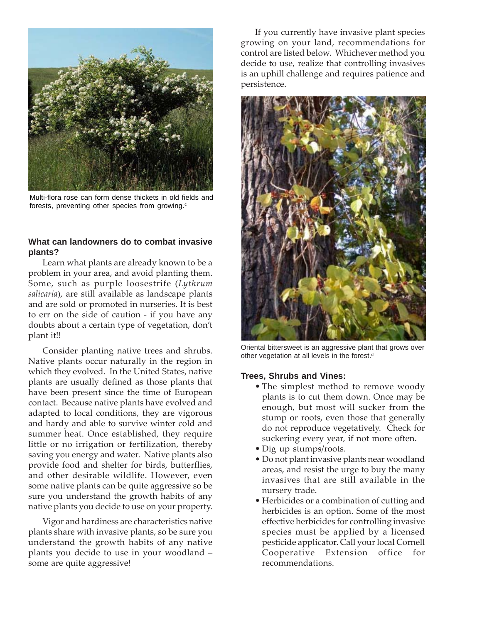

Multi-flora rose can form dense thickets in old fields and forests, preventing other species from growing.<sup>c</sup>

## **What can landowners do to combat invasive plants?**

Learn what plants are already known to be a problem in your area, and avoid planting them. Some, such as purple loosestrife (*Lythrum salicaria*), are still available as landscape plants and are sold or promoted in nurseries. It is best to err on the side of caution - if you have any doubts about a certain type of vegetation, don't plant it!!

Consider planting native trees and shrubs. Native plants occur naturally in the region in which they evolved. In the United States, native plants are usually defined as those plants that have been present since the time of European contact. Because native plants have evolved and adapted to local conditions, they are vigorous and hardy and able to survive winter cold and summer heat. Once established, they require little or no irrigation or fertilization, thereby saving you energy and water. Native plants also provide food and shelter for birds, butterflies, and other desirable wildlife. However, even some native plants can be quite aggressive so be sure you understand the growth habits of any native plants you decide to use on your property.

Vigor and hardiness are characteristics native plants share with invasive plants, so be sure you understand the growth habits of any native plants you decide to use in your woodland – some are quite aggressive!

If you currently have invasive plant species growing on your land, recommendations for control are listed below. Whichever method you decide to use, realize that controlling invasives is an uphill challenge and requires patience and persistence.



Oriental bittersweet is an aggressive plant that grows over other vegetation at all levels in the forest.<sup>d</sup>

#### **Trees, Shrubs and Vines:**

- The simplest method to remove woody plants is to cut them down. Once may be enough, but most will sucker from the stump or roots, even those that generally do not reproduce vegetatively. Check for suckering every year, if not more often.
- Dig up stumps/roots.
- Do not plant invasive plants near woodland areas, and resist the urge to buy the many invasives that are still available in the nursery trade.
- Herbicides or a combination of cutting and herbicides is an option. Some of the most effective herbicides for controlling invasive species must be applied by a licensed pesticide applicator. Call your local Cornell Cooperative Extension office for recommendations.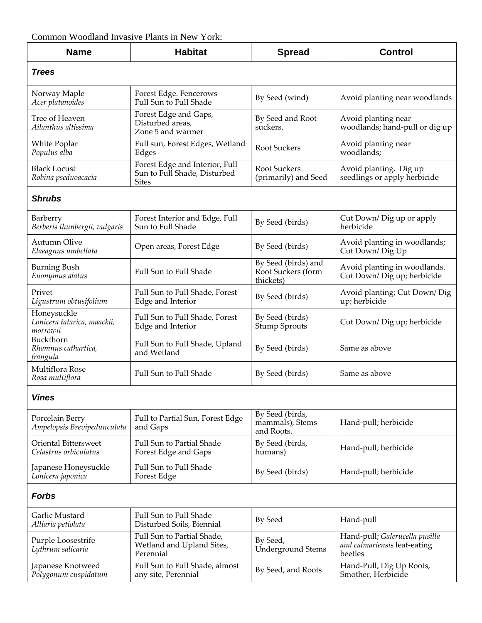## Common Woodland Invasive Plants in New York:

| <b>Name</b>                                            | <b>Habitat</b>                                                                 | <b>Spread</b>                                          | <b>Control</b>                                                            |
|--------------------------------------------------------|--------------------------------------------------------------------------------|--------------------------------------------------------|---------------------------------------------------------------------------|
| <b>Trees</b>                                           |                                                                                |                                                        |                                                                           |
| Norway Maple<br>Acer platanoides                       | Forest Edge. Fencerows<br>Full Sun to Full Shade                               | By Seed (wind)                                         | Avoid planting near woodlands                                             |
| Tree of Heaven<br>Ailanthus altissima                  | Forest Edge and Gaps,<br>Disturbed areas,<br>Zone 5 and warmer                 | By Seed and Root<br>suckers.                           | Avoid planting near<br>woodlands; hand-pull or dig up                     |
| White Poplar<br>Populus alba                           | Full sun, Forest Edges, Wetland<br>Edges                                       | <b>Root Suckers</b>                                    | Avoid planting near<br>woodlands;                                         |
| <b>Black Locust</b><br>Robina pseduoacacia             | Forest Edge and Interior, Full<br>Sun to Full Shade, Disturbed<br><b>Sites</b> | <b>Root Suckers</b><br>(primarily) and Seed            | Avoid planting. Dig up<br>seedlings or apply herbicide                    |
| <b>Shrubs</b>                                          |                                                                                |                                                        |                                                                           |
| Barberry<br>Berberis thunbergii, vulgaris              | Forest Interior and Edge, Full<br>Sun to Full Shade                            | By Seed (birds)                                        | Cut Down/Dig up or apply<br>herbicide                                     |
| Autumn Olive<br>Elaeagnus umbellata                    | Open areas, Forest Edge                                                        | By Seed (birds)                                        | Avoid planting in woodlands;<br>Cut Down/Dig Up                           |
| <b>Burning Bush</b><br>Euonymus alatus                 | Full Sun to Full Shade                                                         | By Seed (birds) and<br>Root Suckers (form<br>thickets) | Avoid planting in woodlands.<br>Cut Down/Dig up; herbicide                |
| Privet<br>Ligustrum obtusifolium                       | Full Sun to Full Shade, Forest<br>Edge and Interior                            | By Seed (birds)                                        | Avoid planting; Cut Down/Dig<br>up; herbicide                             |
| Honeysuckle<br>Lonicera tatarica, maackii,<br>morrowii | Full Sun to Full Shade, Forest<br>Edge and Interior                            | By Seed (birds)<br><b>Stump Sprouts</b>                | Cut Down/Dig up; herbicide                                                |
| Buckthorn<br>Rhamnus cathartica,<br>frangula           | Full Sun to Full Shade, Upland<br>and Wetland                                  | By Seed (birds)                                        | Same as above                                                             |
| Multiflora Rose<br>Rosa multiflora                     | Full Sun to Full Shade                                                         | By Seed (birds)                                        | Same as above                                                             |
| <b>Vines</b>                                           |                                                                                |                                                        |                                                                           |
| Porcelain Berry<br>Ampelopsis Brevipedunculata         | Full to Partial Sun, Forest Edge<br>and Gaps                                   | By Seed (birds,<br>mammals), Stems<br>and Roots.       | Hand-pull; herbicide                                                      |
| <b>Oriental Bittersweet</b><br>Celastrus orbiculatus   | <b>Full Sun to Partial Shade</b><br>Forest Edge and Gaps                       | By Seed (birds,<br>humans)                             | Hand-pull; herbicide                                                      |
| Japanese Honeysuckle<br>Lonicera japonica              | Full Sun to Full Shade<br>Forest Edge                                          | By Seed (birds)                                        | Hand-pull; herbicide                                                      |
| <b>Forbs</b>                                           |                                                                                |                                                        |                                                                           |
| Garlic Mustard<br>Alliaria petiolata                   | Full Sun to Full Shade<br>Disturbed Soils, Biennial                            | By Seed                                                | Hand-pull                                                                 |
| Purple Loosestrife<br>Lythrum salicaria                | Full Sun to Partial Shade,<br>Wetland and Upland Sites,<br>Perennial           | By Seed,<br><b>Underground Stems</b>                   | Hand-pull; Galerucella pusilla<br>and calmariensis leaf-eating<br>beetles |
| Japanese Knotweed<br>Polygonum cuspidatum              | Full Sun to Full Shade, almost<br>any site, Perennial                          | By Seed, and Roots                                     | Hand-Pull, Dig Up Roots,<br>Smother, Herbicide                            |